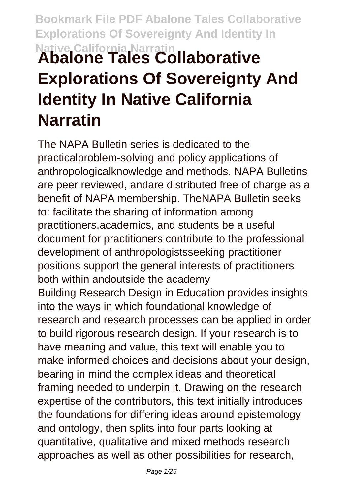# **Bookmark File PDF Abalone Tales Collaborative Explorations Of Sovereignty And Identity In Native California Narratin Abalone Tales Collaborative Explorations Of Sovereignty And Identity In Native California Narratin**

The NAPA Bulletin series is dedicated to the practicalproblem-solving and policy applications of anthropologicalknowledge and methods. NAPA Bulletins are peer reviewed, andare distributed free of charge as a benefit of NAPA membership. TheNAPA Bulletin seeks to: facilitate the sharing of information among practitioners,academics, and students be a useful document for practitioners contribute to the professional development of anthropologistsseeking practitioner positions support the general interests of practitioners both within andoutside the academy Building Research Design in Education provides insights into the ways in which foundational knowledge of research and research processes can be applied in order to build rigorous research design. If your research is to have meaning and value, this text will enable you to make informed choices and decisions about your design, bearing in mind the complex ideas and theoretical framing needed to underpin it. Drawing on the research expertise of the contributors, this text initially introduces the foundations for differing ideas around epistemology and ontology, then splits into four parts looking at quantitative, qualitative and mixed methods research approaches as well as other possibilities for research,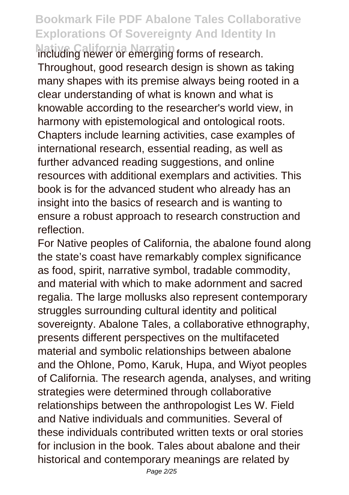**Native California Narratin** including newer or emerging forms of research. Throughout, good research design is shown as taking many shapes with its premise always being rooted in a clear understanding of what is known and what is knowable according to the researcher's world view, in harmony with epistemological and ontological roots. Chapters include learning activities, case examples of international research, essential reading, as well as further advanced reading suggestions, and online resources with additional exemplars and activities. This book is for the advanced student who already has an insight into the basics of research and is wanting to ensure a robust approach to research construction and reflection.

For Native peoples of California, the abalone found along the state's coast have remarkably complex significance as food, spirit, narrative symbol, tradable commodity, and material with which to make adornment and sacred regalia. The large mollusks also represent contemporary struggles surrounding cultural identity and political sovereignty. Abalone Tales, a collaborative ethnography, presents different perspectives on the multifaceted material and symbolic relationships between abalone and the Ohlone, Pomo, Karuk, Hupa, and Wiyot peoples of California. The research agenda, analyses, and writing strategies were determined through collaborative relationships between the anthropologist Les W. Field and Native individuals and communities. Several of these individuals contributed written texts or oral stories for inclusion in the book. Tales about abalone and their historical and contemporary meanings are related by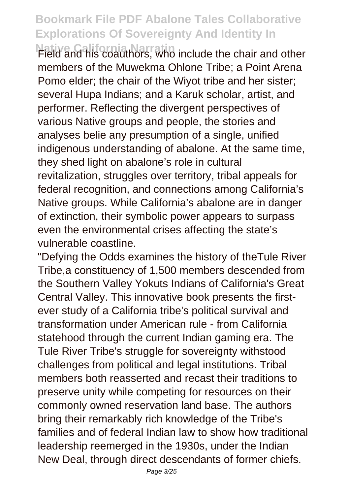**Native California Narratin** Field and his coauthors, who include the chair and other members of the Muwekma Ohlone Tribe; a Point Arena Pomo elder; the chair of the Wiyot tribe and her sister; several Hupa Indians; and a Karuk scholar, artist, and performer. Reflecting the divergent perspectives of various Native groups and people, the stories and analyses belie any presumption of a single, unified indigenous understanding of abalone. At the same time, they shed light on abalone's role in cultural revitalization, struggles over territory, tribal appeals for federal recognition, and connections among California's Native groups. While California's abalone are in danger of extinction, their symbolic power appears to surpass even the environmental crises affecting the state's vulnerable coastline.

"Defying the Odds examines the history of theTule River Tribe,a constituency of 1,500 members descended from the Southern Valley Yokuts Indians of California's Great Central Valley. This innovative book presents the firstever study of a California tribe's political survival and transformation under American rule - from California statehood through the current Indian gaming era. The Tule River Tribe's struggle for sovereignty withstood challenges from political and legal institutions. Tribal members both reasserted and recast their traditions to preserve unity while competing for resources on their commonly owned reservation land base. The authors bring their remarkably rich knowledge of the Tribe's families and of federal Indian law to show how traditional leadership reemerged in the 1930s, under the Indian New Deal, through direct descendants of former chiefs.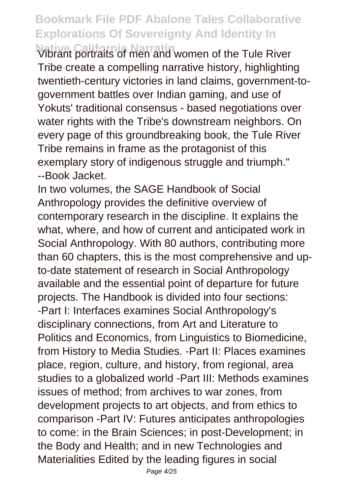**Native California Narratin** Vibrant portraits of men and women of the Tule River Tribe create a compelling narrative history, highlighting twentieth-century victories in land claims, government-togovernment battles over Indian gaming, and use of Yokuts' traditional consensus - based negotiations over water rights with the Tribe's downstream neighbors. On every page of this groundbreaking book, the Tule River Tribe remains in frame as the protagonist of this exemplary story of indigenous struggle and triumph." --Book Jacket.

In two volumes, the SAGE Handbook of Social Anthropology provides the definitive overview of contemporary research in the discipline. It explains the what, where, and how of current and anticipated work in Social Anthropology. With 80 authors, contributing more than 60 chapters, this is the most comprehensive and upto-date statement of research in Social Anthropology available and the essential point of departure for future projects. The Handbook is divided into four sections: -Part I: Interfaces examines Social Anthropology's disciplinary connections, from Art and Literature to Politics and Economics, from Linguistics to Biomedicine, from History to Media Studies. -Part II: Places examines place, region, culture, and history, from regional, area studies to a globalized world -Part III: Methods examines issues of method; from archives to war zones, from development projects to art objects, and from ethics to comparison -Part IV: Futures anticipates anthropologies to come: in the Brain Sciences; in post-Development; in the Body and Health; and in new Technologies and Materialities Edited by the leading figures in social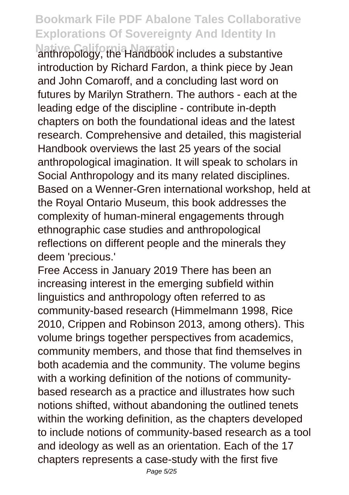**Native California Narratin** anthropology, the Handbook includes a substantive introduction by Richard Fardon, a think piece by Jean and John Comaroff, and a concluding last word on futures by Marilyn Strathern. The authors - each at the leading edge of the discipline - contribute in-depth chapters on both the foundational ideas and the latest research. Comprehensive and detailed, this magisterial Handbook overviews the last 25 years of the social anthropological imagination. It will speak to scholars in Social Anthropology and its many related disciplines. Based on a Wenner-Gren international workshop, held at the Royal Ontario Museum, this book addresses the complexity of human-mineral engagements through ethnographic case studies and anthropological reflections on different people and the minerals they deem 'precious.'

Free Access in January 2019 There has been an increasing interest in the emerging subfield within linguistics and anthropology often referred to as community-based research (Himmelmann 1998, Rice 2010, Crippen and Robinson 2013, among others). This volume brings together perspectives from academics, community members, and those that find themselves in both academia and the community. The volume begins with a working definition of the notions of communitybased research as a practice and illustrates how such notions shifted, without abandoning the outlined tenets within the working definition, as the chapters developed to include notions of community-based research as a tool and ideology as well as an orientation. Each of the 17 chapters represents a case-study with the first five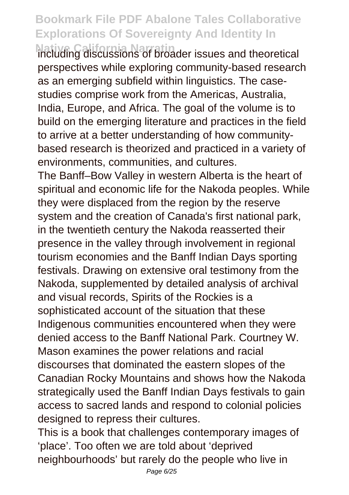**Native California Narratin** including discussions of broader issues and theoretical perspectives while exploring community-based research as an emerging subfield within linguistics. The casestudies comprise work from the Americas, Australia, India, Europe, and Africa. The goal of the volume is to build on the emerging literature and practices in the field to arrive at a better understanding of how communitybased research is theorized and practiced in a variety of environments, communities, and cultures.

The Banff–Bow Valley in western Alberta is the heart of spiritual and economic life for the Nakoda peoples. While they were displaced from the region by the reserve system and the creation of Canada's first national park, in the twentieth century the Nakoda reasserted their presence in the valley through involvement in regional tourism economies and the Banff Indian Days sporting festivals. Drawing on extensive oral testimony from the Nakoda, supplemented by detailed analysis of archival and visual records, Spirits of the Rockies is a sophisticated account of the situation that these Indigenous communities encountered when they were denied access to the Banff National Park. Courtney W. Mason examines the power relations and racial discourses that dominated the eastern slopes of the Canadian Rocky Mountains and shows how the Nakoda strategically used the Banff Indian Days festivals to gain access to sacred lands and respond to colonial policies designed to repress their cultures.

This is a book that challenges contemporary images of 'place'. Too often we are told about 'deprived neighbourhoods' but rarely do the people who live in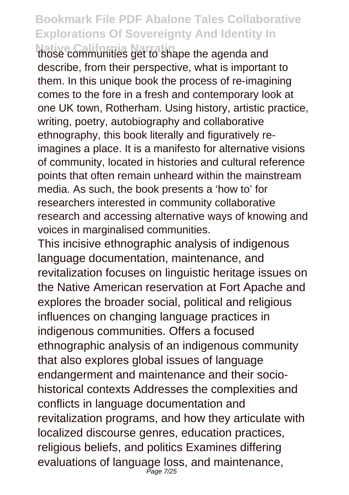**Native California Narratin** those communities get to shape the agenda and describe, from their perspective, what is important to them. In this unique book the process of re-imagining comes to the fore in a fresh and contemporary look at one UK town, Rotherham. Using history, artistic practice, writing, poetry, autobiography and collaborative ethnography, this book literally and figuratively reimagines a place. It is a manifesto for alternative visions of community, located in histories and cultural reference points that often remain unheard within the mainstream media. As such, the book presents a 'how to' for researchers interested in community collaborative research and accessing alternative ways of knowing and voices in marginalised communities.

This incisive ethnographic analysis of indigenous language documentation, maintenance, and revitalization focuses on linguistic heritage issues on the Native American reservation at Fort Apache and explores the broader social, political and religious influences on changing language practices in indigenous communities. Offers a focused ethnographic analysis of an indigenous community that also explores global issues of language endangerment and maintenance and their sociohistorical contexts Addresses the complexities and conflicts in language documentation and revitalization programs, and how they articulate with localized discourse genres, education practices, religious beliefs, and politics Examines differing evaluations of language loss, and maintenance, Page 7/25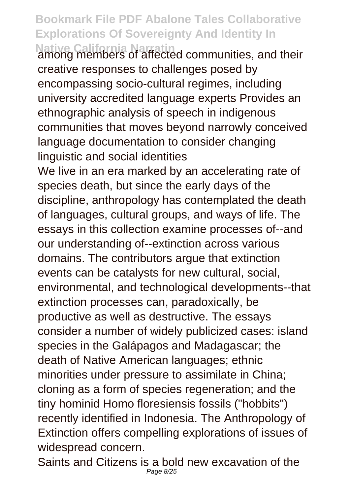**Native California Narratin** among members of affected communities, and their creative responses to challenges posed by encompassing socio-cultural regimes, including university accredited language experts Provides an ethnographic analysis of speech in indigenous communities that moves beyond narrowly conceived language documentation to consider changing linguistic and social identities

We live in an era marked by an accelerating rate of species death, but since the early days of the discipline, anthropology has contemplated the death of languages, cultural groups, and ways of life. The essays in this collection examine processes of--and our understanding of--extinction across various domains. The contributors argue that extinction events can be catalysts for new cultural, social, environmental, and technological developments--that extinction processes can, paradoxically, be productive as well as destructive. The essays consider a number of widely publicized cases: island species in the Galápagos and Madagascar; the death of Native American languages; ethnic minorities under pressure to assimilate in China; cloning as a form of species regeneration; and the tiny hominid Homo floresiensis fossils ("hobbits") recently identified in Indonesia. The Anthropology of Extinction offers compelling explorations of issues of widespread concern.

Saints and Citizens is a bold new excavation of the Page 8/25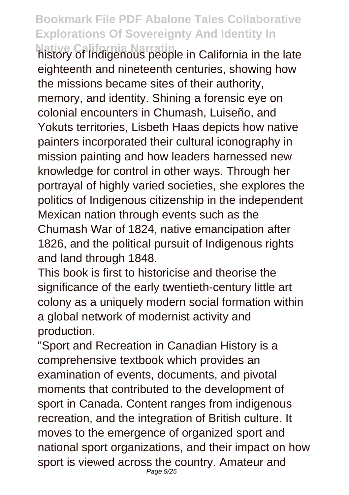**Native California Narratin** history of Indigenous people in California in the late eighteenth and nineteenth centuries, showing how the missions became sites of their authority, memory, and identity. Shining a forensic eye on colonial encounters in Chumash, Luiseño, and Yokuts territories, Lisbeth Haas depicts how native painters incorporated their cultural iconography in mission painting and how leaders harnessed new knowledge for control in other ways. Through her portrayal of highly varied societies, she explores the politics of Indigenous citizenship in the independent Mexican nation through events such as the Chumash War of 1824, native emancipation after 1826, and the political pursuit of Indigenous rights and land through 1848.

This book is first to historicise and theorise the significance of the early twentieth-century little art colony as a uniquely modern social formation within a global network of modernist activity and production.

"Sport and Recreation in Canadian History is a comprehensive textbook which provides an examination of events, documents, and pivotal moments that contributed to the development of sport in Canada. Content ranges from indigenous recreation, and the integration of British culture. It moves to the emergence of organized sport and national sport organizations, and their impact on how sport is viewed across the country. Amateur and Page 9/25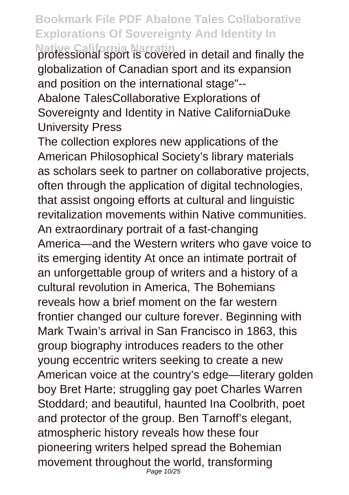**Native California Narratin** professional sport is covered in detail and finally the globalization of Canadian sport and its expansion and position on the international stage"-- Abalone TalesCollaborative Explorations of Sovereignty and Identity in Native CaliforniaDuke University Press

The collection explores new applications of the American Philosophical Society's library materials as scholars seek to partner on collaborative projects, often through the application of digital technologies, that assist ongoing efforts at cultural and linguistic revitalization movements within Native communities. An extraordinary portrait of a fast-changing America—and the Western writers who gave voice to its emerging identity At once an intimate portrait of an unforgettable group of writers and a history of a cultural revolution in America, The Bohemians reveals how a brief moment on the far western frontier changed our culture forever. Beginning with Mark Twain's arrival in San Francisco in 1863, this group biography introduces readers to the other young eccentric writers seeking to create a new American voice at the country's edge—literary golden boy Bret Harte; struggling gay poet Charles Warren Stoddard; and beautiful, haunted Ina Coolbrith, poet and protector of the group. Ben Tarnoff's elegant, atmospheric history reveals how these four pioneering writers helped spread the Bohemian movement throughout the world, transforming Page 10/25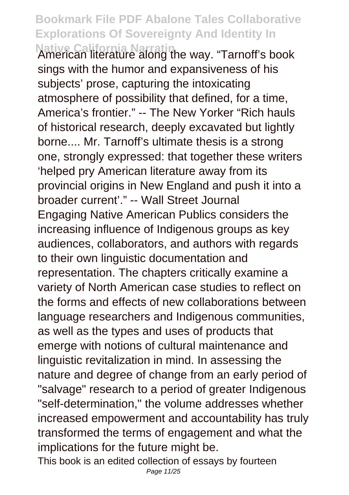**Native California Narratin** American literature along the way. "Tarnoff's book sings with the humor and expansiveness of his subjects' prose, capturing the intoxicating atmosphere of possibility that defined, for a time, America's frontier." -- The New Yorker "Rich hauls of historical research, deeply excavated but lightly borne.... Mr. Tarnoff's ultimate thesis is a strong one, strongly expressed: that together these writers 'helped pry American literature away from its provincial origins in New England and push it into a broader current'." -- Wall Street Journal Engaging Native American Publics considers the increasing influence of Indigenous groups as key audiences, collaborators, and authors with regards to their own linguistic documentation and representation. The chapters critically examine a variety of North American case studies to reflect on the forms and effects of new collaborations between language researchers and Indigenous communities, as well as the types and uses of products that emerge with notions of cultural maintenance and linguistic revitalization in mind. In assessing the nature and degree of change from an early period of "salvage" research to a period of greater Indigenous "self-determination," the volume addresses whether increased empowerment and accountability has truly transformed the terms of engagement and what the implications for the future might be.

This book is an edited collection of essays by fourteen Page 11/25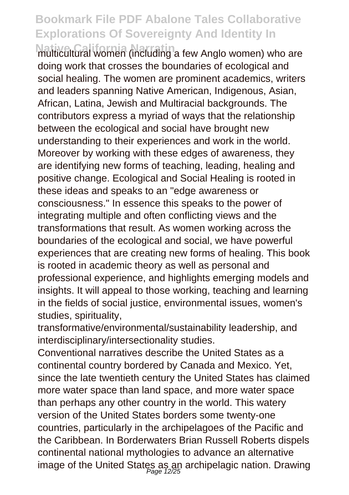**Native California Narratin**<br>multicultural women (including a few Anglo women) who are doing work that crosses the boundaries of ecological and social healing. The women are prominent academics, writers and leaders spanning Native American, Indigenous, Asian, African, Latina, Jewish and Multiracial backgrounds. The contributors express a myriad of ways that the relationship between the ecological and social have brought new understanding to their experiences and work in the world. Moreover by working with these edges of awareness, they are identifying new forms of teaching, leading, healing and positive change. Ecological and Social Healing is rooted in these ideas and speaks to an "edge awareness or consciousness." In essence this speaks to the power of integrating multiple and often conflicting views and the transformations that result. As women working across the boundaries of the ecological and social, we have powerful experiences that are creating new forms of healing. This book is rooted in academic theory as well as personal and professional experience, and highlights emerging models and insights. It will appeal to those working, teaching and learning in the fields of social justice, environmental issues, women's studies, spirituality,

transformative/environmental/sustainability leadership, and interdisciplinary/intersectionality studies.

Conventional narratives describe the United States as a continental country bordered by Canada and Mexico. Yet, since the late twentieth century the United States has claimed more water space than land space, and more water space than perhaps any other country in the world. This watery version of the United States borders some twenty-one countries, particularly in the archipelagoes of the Pacific and the Caribbean. In Borderwaters Brian Russell Roberts dispels continental national mythologies to advance an alternative image of the United States as an archipelagic nation. Drawing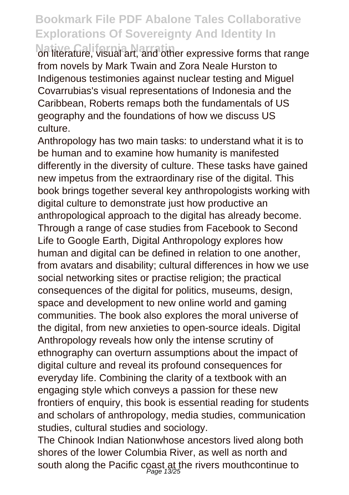on literature, visual art, and other expressive forms that range from novels by Mark Twain and Zora Neale Hurston to Indigenous testimonies against nuclear testing and Miguel Covarrubias's visual representations of Indonesia and the Caribbean, Roberts remaps both the fundamentals of US geography and the foundations of how we discuss US culture.

Anthropology has two main tasks: to understand what it is to be human and to examine how humanity is manifested differently in the diversity of culture. These tasks have gained new impetus from the extraordinary rise of the digital. This book brings together several key anthropologists working with digital culture to demonstrate just how productive an anthropological approach to the digital has already become. Through a range of case studies from Facebook to Second Life to Google Earth, Digital Anthropology explores how human and digital can be defined in relation to one another, from avatars and disability; cultural differences in how we use social networking sites or practise religion; the practical consequences of the digital for politics, museums, design, space and development to new online world and gaming communities. The book also explores the moral universe of the digital, from new anxieties to open-source ideals. Digital Anthropology reveals how only the intense scrutiny of ethnography can overturn assumptions about the impact of digital culture and reveal its profound consequences for everyday life. Combining the clarity of a textbook with an engaging style which conveys a passion for these new frontiers of enquiry, this book is essential reading for students and scholars of anthropology, media studies, communication studies, cultural studies and sociology.

The Chinook Indian Nationwhose ancestors lived along both shores of the lower Columbia River, as well as north and south along the Pacific coast at the rivers mouthcontinue to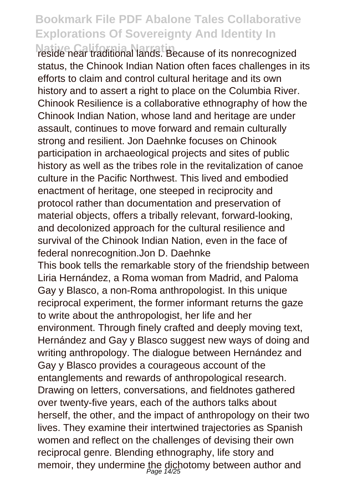**Native California Narratin** reside near traditional lands. Because of its nonrecognized status, the Chinook Indian Nation often faces challenges in its efforts to claim and control cultural heritage and its own history and to assert a right to place on the Columbia River. Chinook Resilience is a collaborative ethnography of how the Chinook Indian Nation, whose land and heritage are under assault, continues to move forward and remain culturally strong and resilient. Jon Daehnke focuses on Chinook participation in archaeological projects and sites of public history as well as the tribes role in the revitalization of canoe culture in the Pacific Northwest. This lived and embodied enactment of heritage, one steeped in reciprocity and protocol rather than documentation and preservation of material objects, offers a tribally relevant, forward-looking, and decolonized approach for the cultural resilience and survival of the Chinook Indian Nation, even in the face of federal nonrecognition.Jon D. Daehnke This book tells the remarkable story of the friendship between Liria Hernández, a Roma woman from Madrid, and Paloma Gay y Blasco, a non-Roma anthropologist. In this unique reciprocal experiment, the former informant returns the gaze to write about the anthropologist, her life and her environment. Through finely crafted and deeply moving text, Hernández and Gay y Blasco suggest new ways of doing and writing anthropology. The dialogue between Hernández and Gay y Blasco provides a courageous account of the entanglements and rewards of anthropological research. Drawing on letters, conversations, and fieldnotes gathered over twenty-five years, each of the authors talks about herself, the other, and the impact of anthropology on their two lives. They examine their intertwined trajectories as Spanish women and reflect on the challenges of devising their own reciprocal genre. Blending ethnography, life story and memoir, they undermine the dichotomy between author and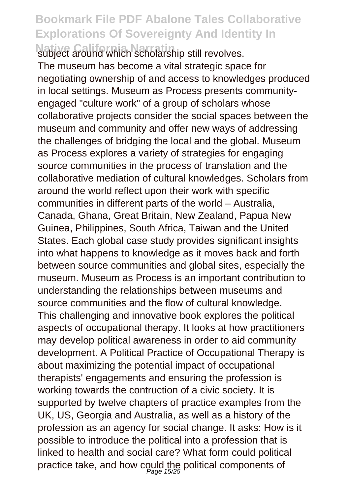**Native California Narratin** subject around which scholarship still revolves. The museum has become a vital strategic space for negotiating ownership of and access to knowledges produced in local settings. Museum as Process presents communityengaged "culture work" of a group of scholars whose collaborative projects consider the social spaces between the museum and community and offer new ways of addressing the challenges of bridging the local and the global. Museum as Process explores a variety of strategies for engaging source communities in the process of translation and the collaborative mediation of cultural knowledges. Scholars from around the world reflect upon their work with specific communities in different parts of the world – Australia, Canada, Ghana, Great Britain, New Zealand, Papua New Guinea, Philippines, South Africa, Taiwan and the United States. Each global case study provides significant insights into what happens to knowledge as it moves back and forth between source communities and global sites, especially the museum. Museum as Process is an important contribution to understanding the relationships between museums and source communities and the flow of cultural knowledge. This challenging and innovative book explores the political aspects of occupational therapy. It looks at how practitioners may develop political awareness in order to aid community development. A Political Practice of Occupational Therapy is about maximizing the potential impact of occupational therapists' engagements and ensuring the profession is working towards the contruction of a civic society. It is supported by twelve chapters of practice examples from the UK, US, Georgia and Australia, as well as a history of the profession as an agency for social change. It asks: How is it possible to introduce the political into a profession that is linked to health and social care? What form could political practice take, and how could the political components of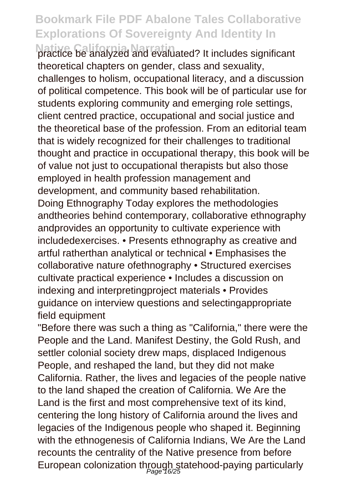**Native California Narratin** practice be analyzed and evaluated? It includes significant theoretical chapters on gender, class and sexuality, challenges to holism, occupational literacy, and a discussion of political competence. This book will be of particular use for students exploring community and emerging role settings, client centred practice, occupational and social justice and the theoretical base of the profession. From an editorial team that is widely recognized for their challenges to traditional thought and practice in occupational therapy, this book will be of value not just to occupational therapists but also those employed in health profession management and development, and community based rehabilitation. Doing Ethnography Today explores the methodologies andtheories behind contemporary, collaborative ethnography andprovides an opportunity to cultivate experience with includedexercises. • Presents ethnography as creative and artful ratherthan analytical or technical • Emphasises the collaborative nature ofethnography • Structured exercises cultivate practical experience • Includes a discussion on indexing and interpretingproject materials • Provides guidance on interview questions and selectingappropriate field equipment

"Before there was such a thing as "California," there were the People and the Land. Manifest Destiny, the Gold Rush, and settler colonial society drew maps, displaced Indigenous People, and reshaped the land, but they did not make California. Rather, the lives and legacies of the people native to the land shaped the creation of California. We Are the Land is the first and most comprehensive text of its kind, centering the long history of California around the lives and legacies of the Indigenous people who shaped it. Beginning with the ethnogenesis of California Indians, We Are the Land recounts the centrality of the Native presence from before European colonization through statehood-paying particularly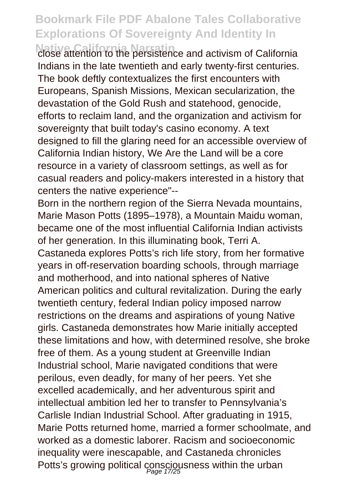**Native California Narratin** close attention to the persistence and activism of California Indians in the late twentieth and early twenty-first centuries. The book deftly contextualizes the first encounters with Europeans, Spanish Missions, Mexican secularization, the devastation of the Gold Rush and statehood, genocide, efforts to reclaim land, and the organization and activism for sovereignty that built today's casino economy. A text designed to fill the glaring need for an accessible overview of California Indian history, We Are the Land will be a core resource in a variety of classroom settings, as well as for casual readers and policy-makers interested in a history that centers the native experience"--

Born in the northern region of the Sierra Nevada mountains, Marie Mason Potts (1895–1978), a Mountain Maidu woman, became one of the most influential California Indian activists of her generation. In this illuminating book, Terri A. Castaneda explores Potts's rich life story, from her formative years in off-reservation boarding schools, through marriage and motherhood, and into national spheres of Native American politics and cultural revitalization. During the early twentieth century, federal Indian policy imposed narrow restrictions on the dreams and aspirations of young Native girls. Castaneda demonstrates how Marie initially accepted these limitations and how, with determined resolve, she broke free of them. As a young student at Greenville Indian Industrial school, Marie navigated conditions that were perilous, even deadly, for many of her peers. Yet she excelled academically, and her adventurous spirit and intellectual ambition led her to transfer to Pennsylvania's Carlisle Indian Industrial School. After graduating in 1915, Marie Potts returned home, married a former schoolmate, and worked as a domestic laborer. Racism and socioeconomic inequality were inescapable, and Castaneda chronicles Potts's growing political consciousness within the urban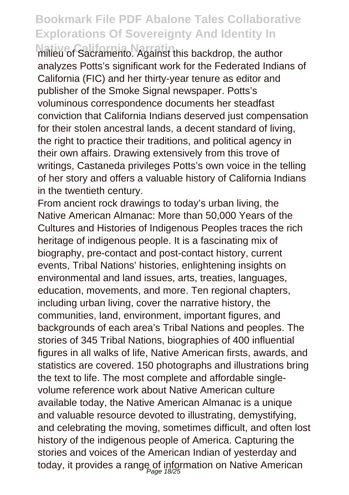**Milieu of Sacramento. Against this backdrop, the author** analyzes Potts's significant work for the Federated Indians of California (FIC) and her thirty-year tenure as editor and publisher of the Smoke Signal newspaper. Potts's voluminous correspondence documents her steadfast conviction that California Indians deserved just compensation for their stolen ancestral lands, a decent standard of living, the right to practice their traditions, and political agency in their own affairs. Drawing extensively from this trove of writings, Castaneda privileges Potts's own voice in the telling of her story and offers a valuable history of California Indians in the twentieth century.

From ancient rock drawings to today's urban living, the Native American Almanac: More than 50,000 Years of the Cultures and Histories of Indigenous Peoples traces the rich heritage of indigenous people. It is a fascinating mix of biography, pre-contact and post-contact history, current events, Tribal Nations' histories, enlightening insights on environmental and land issues, arts, treaties, languages, education, movements, and more. Ten regional chapters, including urban living, cover the narrative history, the communities, land, environment, important figures, and backgrounds of each area's Tribal Nations and peoples. The stories of 345 Tribal Nations, biographies of 400 influential figures in all walks of life, Native American firsts, awards, and statistics are covered. 150 photographs and illustrations bring the text to life. The most complete and affordable singlevolume reference work about Native American culture available today, the Native American Almanac is a unique and valuable resource devoted to illustrating, demystifying, and celebrating the moving, sometimes difficult, and often lost history of the indigenous people of America. Capturing the stories and voices of the American Indian of yesterday and today, it provides a range of information on Native American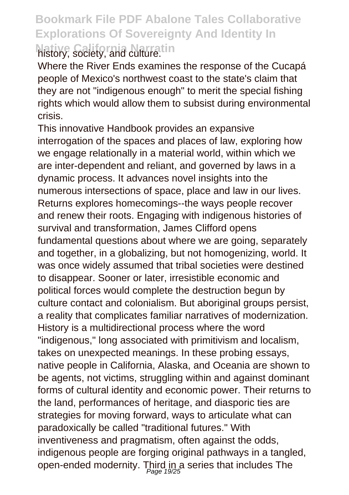#### **Bookmark File PDF Abalone Tales Collaborative Explorations Of Sovereignty And Identity In Native California Narratin** history, society, and culture.

Where the River Ends examines the response of the Cucapá people of Mexico's northwest coast to the state's claim that they are not "indigenous enough" to merit the special fishing rights which would allow them to subsist during environmental crisis.

This innovative Handbook provides an expansive interrogation of the spaces and places of law, exploring how we engage relationally in a material world, within which we are inter-dependent and reliant, and governed by laws in a dynamic process. It advances novel insights into the numerous intersections of space, place and law in our lives. Returns explores homecomings--the ways people recover and renew their roots. Engaging with indigenous histories of survival and transformation, James Clifford opens fundamental questions about where we are going, separately and together, in a globalizing, but not homogenizing, world. It was once widely assumed that tribal societies were destined to disappear. Sooner or later, irresistible economic and political forces would complete the destruction begun by culture contact and colonialism. But aboriginal groups persist, a reality that complicates familiar narratives of modernization. History is a multidirectional process where the word "indigenous," long associated with primitivism and localism, takes on unexpected meanings. In these probing essays, native people in California, Alaska, and Oceania are shown to be agents, not victims, struggling within and against dominant forms of cultural identity and economic power. Their returns to the land, performances of heritage, and diasporic ties are strategies for moving forward, ways to articulate what can paradoxically be called "traditional futures." With inventiveness and pragmatism, often against the odds, indigenous people are forging original pathways in a tangled, open-ended modernity. Third in a series that includes The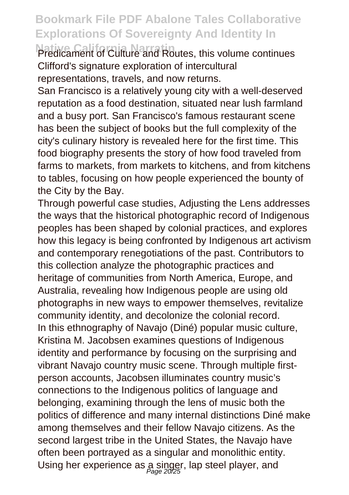Predicament of Culture and Routes, this volume continues Clifford's signature exploration of intercultural representations, travels, and now returns.

San Francisco is a relatively young city with a well-deserved reputation as a food destination, situated near lush farmland and a busy port. San Francisco's famous restaurant scene has been the subject of books but the full complexity of the city's culinary history is revealed here for the first time. This food biography presents the story of how food traveled from farms to markets, from markets to kitchens, and from kitchens to tables, focusing on how people experienced the bounty of the City by the Bay.

Through powerful case studies, Adjusting the Lens addresses the ways that the historical photographic record of Indigenous peoples has been shaped by colonial practices, and explores how this legacy is being confronted by Indigenous art activism and contemporary renegotiations of the past. Contributors to this collection analyze the photographic practices and heritage of communities from North America, Europe, and Australia, revealing how Indigenous people are using old photographs in new ways to empower themselves, revitalize community identity, and decolonize the colonial record. In this ethnography of Navajo (Diné) popular music culture, Kristina M. Jacobsen examines questions of Indigenous identity and performance by focusing on the surprising and vibrant Navajo country music scene. Through multiple firstperson accounts, Jacobsen illuminates country music's connections to the Indigenous politics of language and belonging, examining through the lens of music both the politics of difference and many internal distinctions Diné make among themselves and their fellow Navajo citizens. As the second largest tribe in the United States, the Navajo have often been portrayed as a singular and monolithic entity. Using her experience as a singer, lap steel player, and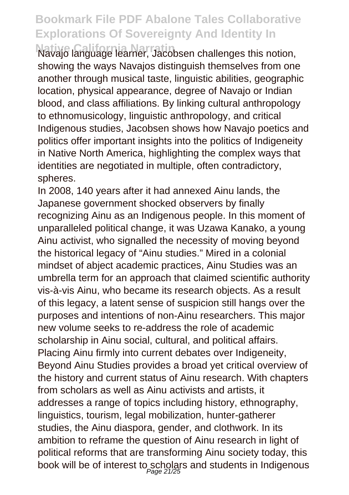**Native California Narratin** Navajo language learner, Jacobsen challenges this notion, showing the ways Navajos distinguish themselves from one another through musical taste, linguistic abilities, geographic location, physical appearance, degree of Navajo or Indian blood, and class affiliations. By linking cultural anthropology to ethnomusicology, linguistic anthropology, and critical Indigenous studies, Jacobsen shows how Navajo poetics and politics offer important insights into the politics of Indigeneity in Native North America, highlighting the complex ways that identities are negotiated in multiple, often contradictory, spheres.

In 2008, 140 years after it had annexed Ainu lands, the Japanese government shocked observers by finally recognizing Ainu as an Indigenous people. In this moment of unparalleled political change, it was Uzawa Kanako, a young Ainu activist, who signalled the necessity of moving beyond the historical legacy of "Ainu studies." Mired in a colonial mindset of abject academic practices, Ainu Studies was an umbrella term for an approach that claimed scientific authority vis-à-vis Ainu, who became its research objects. As a result of this legacy, a latent sense of suspicion still hangs over the purposes and intentions of non-Ainu researchers. This major new volume seeks to re-address the role of academic scholarship in Ainu social, cultural, and political affairs. Placing Ainu firmly into current debates over Indigeneity, Beyond Ainu Studies provides a broad yet critical overview of the history and current status of Ainu research. With chapters from scholars as well as Ainu activists and artists, it addresses a range of topics including history, ethnography, linguistics, tourism, legal mobilization, hunter-gatherer studies, the Ainu diaspora, gender, and clothwork. In its ambition to reframe the question of Ainu research in light of political reforms that are transforming Ainu society today, this book will be of interest to scholars and students in Indigenous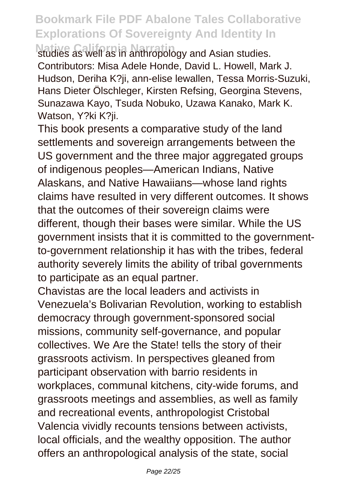studies as well as in anthropology and Asian studies. Contributors: Misa Adele Honde, David L. Howell, Mark J. Hudson, Deriha K?ji, ann-elise lewallen, Tessa Morris-Suzuki, Hans Dieter Ölschleger, Kirsten Refsing, Georgina Stevens, Sunazawa Kayo, Tsuda Nobuko, Uzawa Kanako, Mark K. Watson, Y?ki K?ii.

This book presents a comparative study of the land settlements and sovereign arrangements between the US government and the three major aggregated groups of indigenous peoples—American Indians, Native Alaskans, and Native Hawaiians—whose land rights claims have resulted in very different outcomes. It shows that the outcomes of their sovereign claims were different, though their bases were similar. While the US government insists that it is committed to the governmentto-government relationship it has with the tribes, federal authority severely limits the ability of tribal governments to participate as an equal partner.

Chavistas are the local leaders and activists in Venezuela's Bolivarian Revolution, working to establish democracy through government-sponsored social missions, community self-governance, and popular collectives. We Are the State! tells the story of their grassroots activism. In perspectives gleaned from participant observation with barrio residents in workplaces, communal kitchens, city-wide forums, and grassroots meetings and assemblies, as well as family and recreational events, anthropologist Cristobal Valencia vividly recounts tensions between activists, local officials, and the wealthy opposition. The author offers an anthropological analysis of the state, social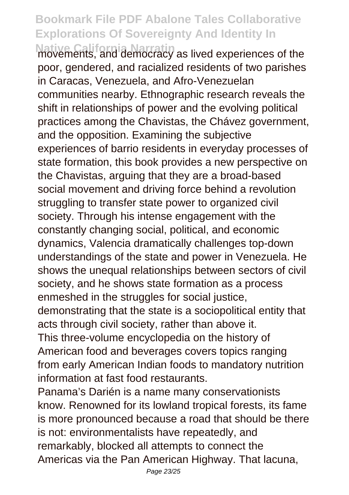**Native California Narratin** movements, and democracy as lived experiences of the poor, gendered, and racialized residents of two parishes in Caracas, Venezuela, and Afro-Venezuelan communities nearby. Ethnographic research reveals the shift in relationships of power and the evolving political practices among the Chavistas, the Chávez government, and the opposition. Examining the subjective experiences of barrio residents in everyday processes of state formation, this book provides a new perspective on the Chavistas, arguing that they are a broad-based social movement and driving force behind a revolution struggling to transfer state power to organized civil society. Through his intense engagement with the constantly changing social, political, and economic dynamics, Valencia dramatically challenges top-down understandings of the state and power in Venezuela. He shows the unequal relationships between sectors of civil society, and he shows state formation as a process enmeshed in the struggles for social justice, demonstrating that the state is a sociopolitical entity that acts through civil society, rather than above it. This three-volume encyclopedia on the history of American food and beverages covers topics ranging from early American Indian foods to mandatory nutrition

information at fast food restaurants.

Panama's Darién is a name many conservationists know. Renowned for its lowland tropical forests, its fame is more pronounced because a road that should be there is not: environmentalists have repeatedly, and remarkably, blocked all attempts to connect the Americas via the Pan American Highway. That lacuna,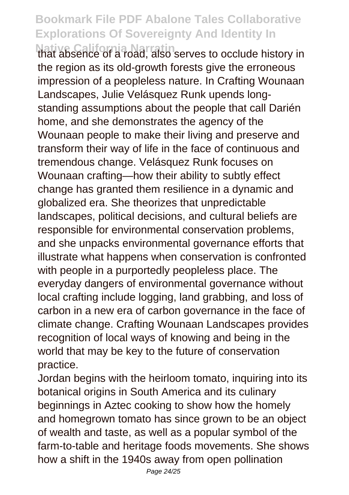**Native California Narratin** that absence of a road, also serves to occlude history in the region as its old-growth forests give the erroneous impression of a peopleless nature. In Crafting Wounaan Landscapes, Julie Velásquez Runk upends longstanding assumptions about the people that call Darién home, and she demonstrates the agency of the Wounaan people to make their living and preserve and transform their way of life in the face of continuous and tremendous change. Velásquez Runk focuses on Wounaan crafting—how their ability to subtly effect change has granted them resilience in a dynamic and globalized era. She theorizes that unpredictable landscapes, political decisions, and cultural beliefs are responsible for environmental conservation problems, and she unpacks environmental governance efforts that illustrate what happens when conservation is confronted with people in a purportedly peopleless place. The everyday dangers of environmental governance without local crafting include logging, land grabbing, and loss of carbon in a new era of carbon governance in the face of climate change. Crafting Wounaan Landscapes provides recognition of local ways of knowing and being in the world that may be key to the future of conservation practice.

Jordan begins with the heirloom tomato, inquiring into its botanical origins in South America and its culinary beginnings in Aztec cooking to show how the homely and homegrown tomato has since grown to be an object of wealth and taste, as well as a popular symbol of the farm-to-table and heritage foods movements. She shows how a shift in the 1940s away from open pollination